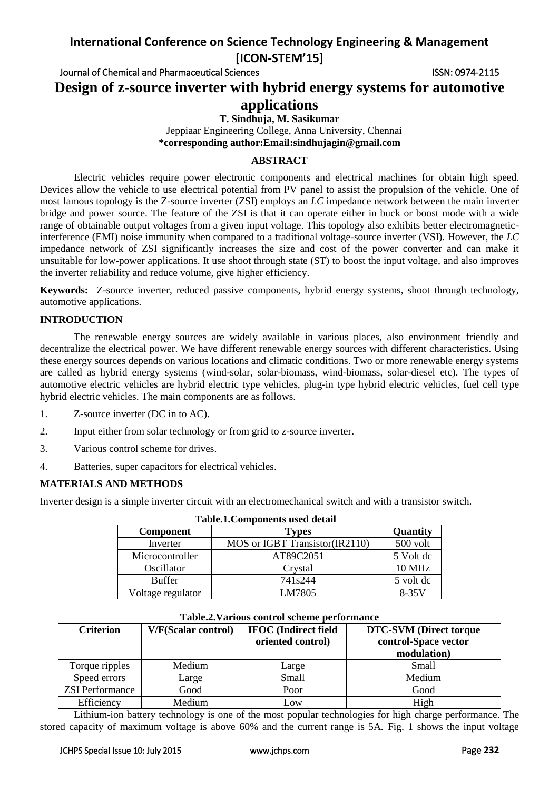# **International Conference on Science Technology Engineering & Management [ICON-STEM'15]**

Journal of Chemical and Pharmaceutical Sciences ISSN: 0974-2115 **Design of z-source inverter with hybrid energy systems for automotive** 

# **applications**

**T. Sindhuja, M. Sasikumar**

Jeppiaar Engineering College, Anna University, Chennai  **\*corresponding author:Email:sindhujagin@gmail.com**

## **ABSTRACT**

Electric vehicles require power electronic components and electrical machines for obtain high speed. Devices allow the vehicle to use electrical potential from PV panel to assist the propulsion of the vehicle. One of most famous topology is the Z-source inverter (ZSI) employs an *LC* impedance network between the main inverter bridge and power source. The feature of the ZSI is that it can operate either in buck or boost mode with a wide range of obtainable output voltages from a given input voltage. This topology also exhibits better electromagneticinterference (EMI) noise immunity when compared to a traditional voltage-source inverter (VSI). However, the *LC*  impedance network of ZSI significantly increases the size and cost of the power converter and can make it unsuitable for low-power applications. It use shoot through state (ST) to boost the input voltage, and also improves the inverter reliability and reduce volume, give higher efficiency.

**Keywords:** Z-source inverter, reduced passive components, hybrid energy systems, shoot through technology, automotive applications.

## **INTRODUCTION**

The renewable energy sources are widely available in various places, also environment friendly and decentralize the electrical power. We have different renewable energy sources with different characteristics. Using these energy sources depends on various locations and climatic conditions. Two or more renewable energy systems are called as hybrid energy systems (wind-solar, solar-biomass, wind-biomass, solar-diesel etc). The types of automotive electric vehicles are hybrid electric type vehicles, plug-in type hybrid electric vehicles, fuel cell type hybrid electric vehicles. The main components are as follows.

- 1. Z-source inverter (DC in to AC).
- 2. Input either from solar technology or from grid to z-source inverter.
- 3. Various control scheme for drives.
- 4. Batteries, super capacitors for electrical vehicles.

# **MATERIALS AND METHODS**

Inverter design is a simple inverter circuit with an electromechanical switch and with a transistor switch.

| <b>Table.1. Components used detail</b> |                                |               |  |  |
|----------------------------------------|--------------------------------|---------------|--|--|
| <b>Component</b>                       | <b>Types</b>                   | Quantity      |  |  |
| Inverter                               | MOS or IGBT Transistor(IR2110) | 500 volt      |  |  |
| Microcontroller                        | AT89C2051                      | 5 Volt dc     |  |  |
| Oscillator                             | Crystal                        | <b>10 MHz</b> |  |  |
| <b>Buffer</b>                          | 741 <sub>s</sub> 244           | 5 volt de     |  |  |
| Voltage regulator                      | LM7805                         | $8-35V$       |  |  |

| <b>Criterion</b>       | V/F(Scalar control) | <b>IFOC</b> (Indirect field<br>oriented control) | <b>DTC-SVM</b> (Direct torque<br>control-Space vector<br>modulation) |
|------------------------|---------------------|--------------------------------------------------|----------------------------------------------------------------------|
| Torque ripples         | Medium              | Large                                            | Small                                                                |
| Speed errors           | Large               | <b>Small</b>                                     | Medium                                                               |
| <b>ZSI</b> Performance | Good                | Poor                                             | Good                                                                 |
| Efficiency             | Medium              | Low                                              | High                                                                 |

### **Table.2.Various control scheme performance**

Lithium-ion battery technology is one of the most popular technologies for high charge performance. The stored capacity of maximum voltage is above 60% and the current range is 5A. Fig. 1 shows the input voltage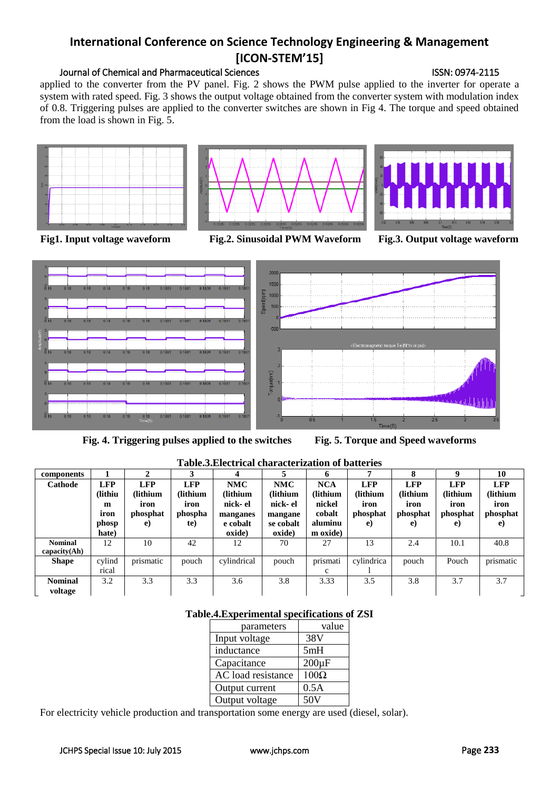# **International Conference on Science Technology Engineering & Management [ICON-STEM'15]**

# Journal of Chemical and Pharmaceutical Sciences ISSN: 0974-2115

applied to the converter from the PV panel. Fig. 2 shows the PWM pulse applied to the inverter for operate a system with rated speed. Fig. 3 shows the output voltage obtained from the converter system with modulation index of 0.8. Triggering pulses are applied to the converter switches are shown in Fig 4. The torque and speed obtained from the load is shown in Fig. 5.



**Fig1. Input voltage waveform Fig.2. Sinusoidal PWM Waveform Fig.3. Output voltage waveform**



**Fig. 4. Triggering pulses applied to the switches Fig. 5. Torque and Speed waveforms**



| components     |            |            | 3          |             |            | 6            | 7          | 8          | $\mathbf Q$ | 10         |
|----------------|------------|------------|------------|-------------|------------|--------------|------------|------------|-------------|------------|
| Cathode        | <b>LFP</b> | <b>LFP</b> | <b>LFP</b> | <b>NMC</b>  | <b>NMC</b> | <b>NCA</b>   | <b>LFP</b> | <b>LFP</b> | <b>LFP</b>  | <b>LFP</b> |
|                | (lithiu    | (lithium   | (lithium)  | (lithium    | (lithium   | (lithium     | (lithium   | (lithium   | (lithium    | (lithium   |
|                | m          | iron       | iron       | nick- el    | nick-el    | nickel       | iron       | iron       | iron        | iron       |
|                | iron       | phosphat   | phospha    | manganes    | mangane    | cobalt       | phosphat   | phosphat   | phosphat    | phosphat   |
|                | phosp      | e)         | te)        | e cobalt    | se cobalt  | aluminu      | e)         | e)         | e)          | e)         |
|                | hate)      |            |            | oxide)      | oxide)     | m oxide)     |            |            |             |            |
| <b>Nominal</b> | 12         | 10         | 42         | 12          | 70         | 27           | 13         | 2.4        | 10.1        | 40.8       |
| capacity(Ah)   |            |            |            |             |            |              |            |            |             |            |
| <b>Shape</b>   | cylind     | prismatic  | pouch      | cylindrical | pouch      | prismati     | cylindrica | pouch      | Pouch       | prismatic  |
|                | rical      |            |            |             |            | $\mathbf{c}$ |            |            |             |            |
| <b>Nominal</b> | 3.2        | 3.3        | 3.3        | 3.6         | 3.8        | 3.33         | 3.5        | 3.8        | 3.7         | 3.7        |
| voltage        |            |            |            |             |            |              |            |            |             |            |

**Table.3.Electrical characterization of batteries**

# **Table.4.Experimental specifications of ZSI**

| parameters         | value       |
|--------------------|-------------|
| Input voltage      | 38V         |
| inductance         | 5mH         |
| Capacitance        | $200\mu F$  |
| AC load resistance | $100\Omega$ |
| Output current     | 0.5A        |
| Output voltage     | 50V         |

For electricity vehicle production and transportation some energy are used (diesel, solar).